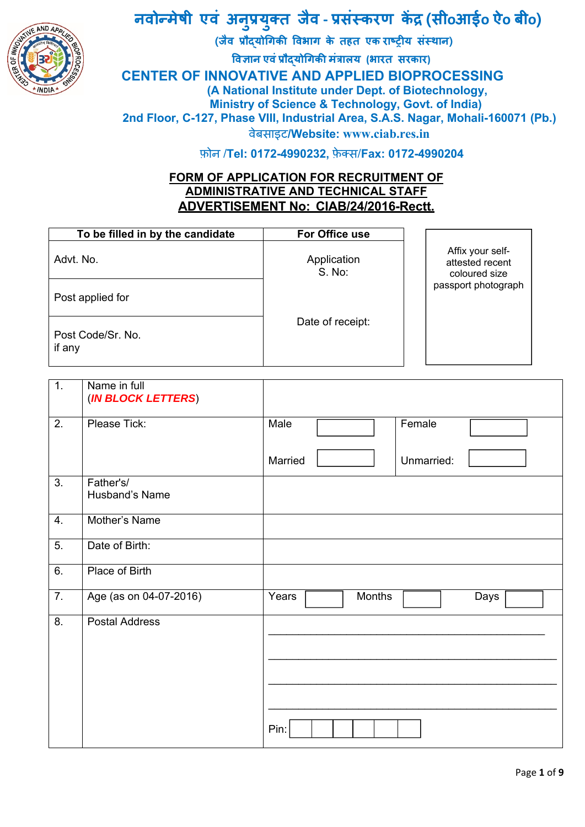

#### **नवोÛमेषी एवं अन प्रय क्त जैव ‐ प्रसंèकरण कɅद्र (सीoआईo ऐo बीo) ु ु**

l  **(जैव प्रौɮयोिगकी िवभाग के तहत एक राçट्रीय संèथान) िवज्ञान एवंप्रौɮयोिगकी मंत्रालय (भारत सरकार)**

**CENTER OF INNOVATIVE AND APPLIED BIOPROCESSING** 

 **(A National Institute under Dept. of Biotechnology,** 

**Ministry of Science & Technology, Govt. of India)** 

**2nd Floor, C-127, Phase VIII, Industrial Area, S.A.S. Nagar, Mohali-160071 (Pb.)** 

वेबसाइट**/Website: www.ciab.res.in**

फ़ोन /**Tel: 0172-4990232,** फ़ेक्स/**Fax: 0172-4990204** 

## **FORM OF APPLICATION FOR RECRUITMENT OF ADMINISTRATIVE AND TECHNICAL STAFF ADVERTISEMENT No: CIAB/24/2016-Rectt.**

| To be filled in by the candidate | For Office use        |                                                      |
|----------------------------------|-----------------------|------------------------------------------------------|
| Advt. No.                        | Application<br>S. No: | Affix your self-<br>attested recent<br>coloured size |
| Post applied for                 |                       | passport photograph                                  |
| Post Code/Sr. No.<br>if any      | Date of receipt:      |                                                      |

| $\overline{1}$ . | Name in full<br>(IN BLOCK LETTERS) |                                |
|------------------|------------------------------------|--------------------------------|
| 2.               | Please Tick:                       | Female<br>Male                 |
|                  |                                    | Married<br>Unmarried:          |
| 3.               | Father's/<br>Husband's Name        |                                |
| 4.               | Mother's Name                      |                                |
| $\overline{5}$ . | Date of Birth:                     |                                |
| 6.               | Place of Birth                     |                                |
| $\overline{7}$ . | Age (as on 04-07-2016)             | Years<br><b>Months</b><br>Days |
| 8.               | <b>Postal Address</b>              | Pin:                           |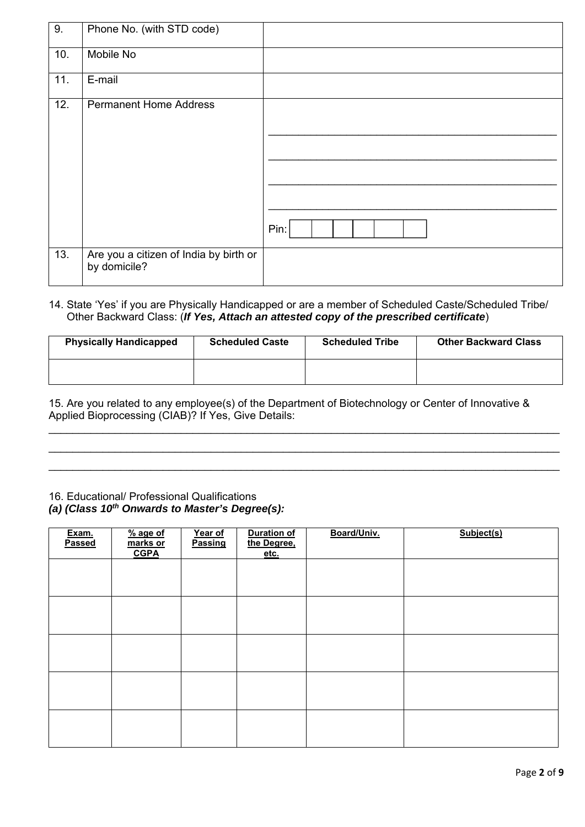| 9.  | Phone No. (with STD code)                              |      |
|-----|--------------------------------------------------------|------|
| 10. | Mobile No                                              |      |
| 11. | E-mail                                                 |      |
| 12. | <b>Permanent Home Address</b>                          | Pin: |
| 13. | Are you a citizen of India by birth or<br>by domicile? |      |

#### 14. State 'Yes' if you are Physically Handicapped or are a member of Scheduled Caste/Scheduled Tribe/ Other Backward Class: (*If Yes, Attach an attested copy of the prescribed certificate*)

| <b>Physically Handicapped</b> | <b>Scheduled Caste</b> | <b>Scheduled Tribe</b> | <b>Other Backward Class</b> |
|-------------------------------|------------------------|------------------------|-----------------------------|
|                               |                        |                        |                             |

 $\_$  , and the set of the set of the set of the set of the set of the set of the set of the set of the set of the set of the set of the set of the set of the set of the set of the set of the set of the set of the set of th \_\_\_\_\_\_\_\_\_\_\_\_\_\_\_\_\_\_\_\_\_\_\_\_\_\_\_\_\_\_\_\_\_\_\_\_\_\_\_\_\_\_\_\_\_\_\_\_\_\_\_\_\_\_\_\_\_\_\_\_\_\_\_\_\_\_\_\_\_\_\_\_\_\_\_\_\_\_\_\_\_\_\_\_\_ \_\_\_\_\_\_\_\_\_\_\_\_\_\_\_\_\_\_\_\_\_\_\_\_\_\_\_\_\_\_\_\_\_\_\_\_\_\_\_\_\_\_\_\_\_\_\_\_\_\_\_\_\_\_\_\_\_\_\_\_\_\_\_\_\_\_\_\_\_\_\_\_\_\_\_\_\_\_\_\_\_\_\_\_\_

15. Are you related to any employee(s) of the Department of Biotechnology or Center of Innovative & Applied Bioprocessing (CIAB)? If Yes, Give Details:

## 16. Educational/ Professional Qualifications

#### *(a) (Class 10th Onwards to Master's Degree(s):*

| Exam.<br>Passed | $%$ age of<br>marks or<br><b>CGPA</b> | Year of<br>Passing | <b>Duration of</b><br>the Degree,<br>etc. | Board/Univ. | Subject(s) |
|-----------------|---------------------------------------|--------------------|-------------------------------------------|-------------|------------|
|                 |                                       |                    |                                           |             |            |
|                 |                                       |                    |                                           |             |            |
|                 |                                       |                    |                                           |             |            |
|                 |                                       |                    |                                           |             |            |
|                 |                                       |                    |                                           |             |            |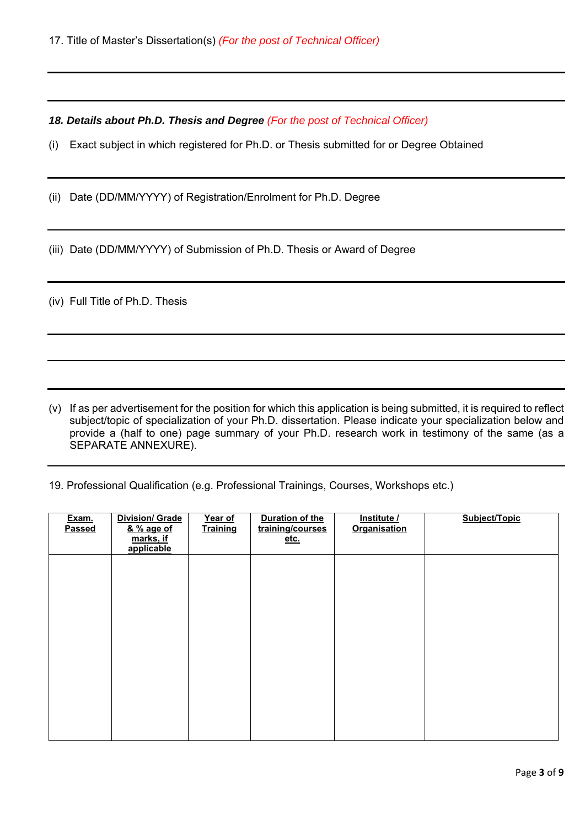*18. Details about Ph.D. Thesis and Degree (For the post of Technical Officer)*

(i) Exact subject in which registered for Ph.D. or Thesis submitted for or Degree Obtained

(ii) Date (DD/MM/YYYY) of Registration/Enrolment for Ph.D. Degree

(iii) Date (DD/MM/YYYY) of Submission of Ph.D. Thesis or Award of Degree

(iv) Full Title of Ph.D. Thesis

(v) If as per advertisement for the position for which this application is being submitted, it is required to reflect subject/topic of specialization of your Ph.D. dissertation. Please indicate your specialization below and provide a (half to one) page summary of your Ph.D. research work in testimony of the same (as a SEPARATE ANNEXURE).

19. Professional Qualification (e.g. Professional Trainings, Courses, Workshops etc.)

| Exam.<br>Passed | <b>Division/ Grade</b><br><u>&amp; % age of</u><br>marks, if<br>applicable | Year of<br><b>Training</b> | <b>Duration of the</b><br>training/courses<br>etc. | Institute /<br><b>Organisation</b> | Subject/Topic |
|-----------------|----------------------------------------------------------------------------|----------------------------|----------------------------------------------------|------------------------------------|---------------|
|                 |                                                                            |                            |                                                    |                                    |               |
|                 |                                                                            |                            |                                                    |                                    |               |
|                 |                                                                            |                            |                                                    |                                    |               |
|                 |                                                                            |                            |                                                    |                                    |               |
|                 |                                                                            |                            |                                                    |                                    |               |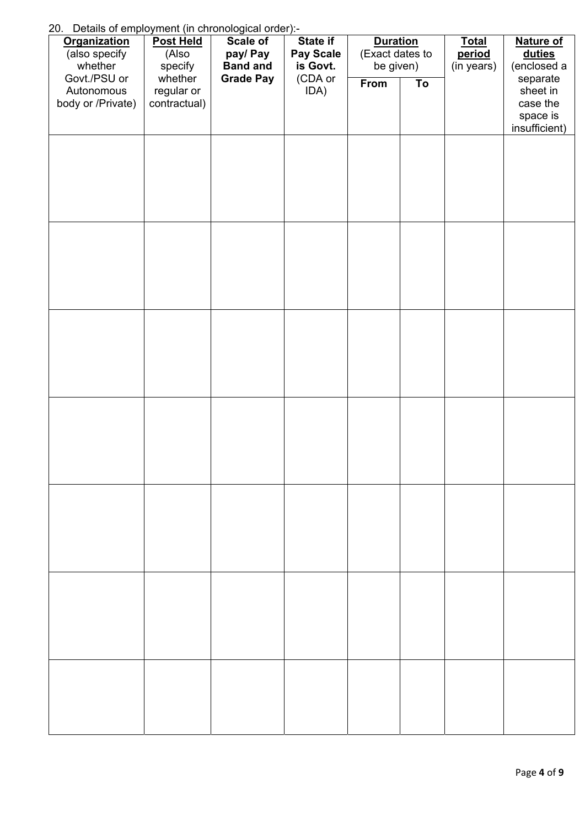20. Details of employment (in chronological order):

| <u>20. Details of employment (in chronological order).</u><br><b>Organization</b><br>(also specify<br>whether | <b>Post Held</b><br>(Also<br>specify  | Scale of<br>pay/ Pay<br><b>Band and</b> | State if<br>Pay Scale<br>is Govt. | <b>Duration</b><br>(Exact dates to<br>be given) |    | <b>Total</b><br>period<br>(in years) | <b>Nature of</b><br><b>duties</b><br>(enclosed a              |
|---------------------------------------------------------------------------------------------------------------|---------------------------------------|-----------------------------------------|-----------------------------------|-------------------------------------------------|----|--------------------------------------|---------------------------------------------------------------|
| Govt./PSU or<br>Autonomous<br>body or /Private)                                                               | whether<br>regular or<br>contractual) | <b>Grade Pay</b>                        | (CDA or<br>IDA)                   | From                                            | To |                                      | separate<br>sheet in<br>case the<br>space is<br>insufficient) |
|                                                                                                               |                                       |                                         |                                   |                                                 |    |                                      |                                                               |
|                                                                                                               |                                       |                                         |                                   |                                                 |    |                                      |                                                               |
|                                                                                                               |                                       |                                         |                                   |                                                 |    |                                      |                                                               |
|                                                                                                               |                                       |                                         |                                   |                                                 |    |                                      |                                                               |
|                                                                                                               |                                       |                                         |                                   |                                                 |    |                                      |                                                               |
|                                                                                                               |                                       |                                         |                                   |                                                 |    |                                      |                                                               |
|                                                                                                               |                                       |                                         |                                   |                                                 |    |                                      |                                                               |
|                                                                                                               |                                       |                                         |                                   |                                                 |    |                                      |                                                               |
|                                                                                                               |                                       |                                         |                                   |                                                 |    |                                      |                                                               |
|                                                                                                               |                                       |                                         |                                   |                                                 |    |                                      |                                                               |
|                                                                                                               |                                       |                                         |                                   |                                                 |    |                                      |                                                               |
|                                                                                                               |                                       |                                         |                                   |                                                 |    |                                      |                                                               |
|                                                                                                               |                                       |                                         |                                   |                                                 |    |                                      |                                                               |
|                                                                                                               |                                       |                                         |                                   |                                                 |    |                                      |                                                               |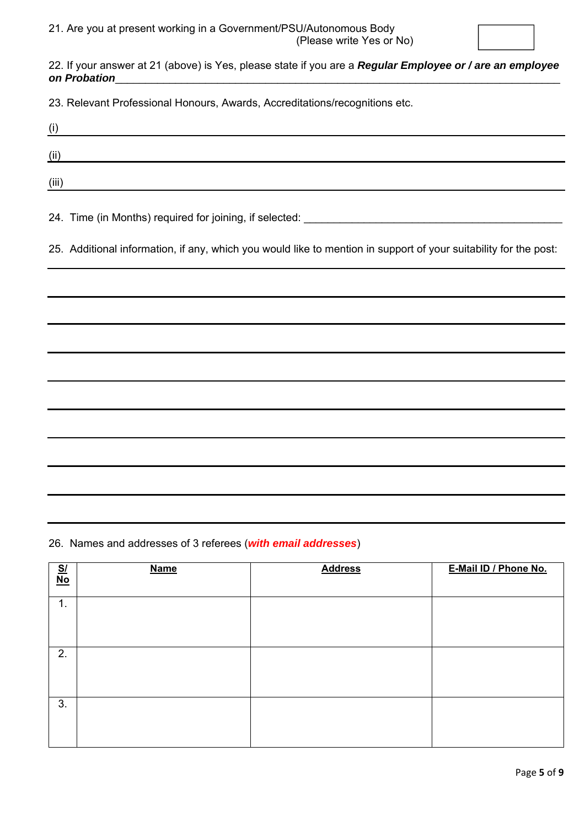

22. If your answer at 21 (above) is Yes, please state if you are a *Regular Employee or / are an employee*  on Probation

23. Relevant Professional Honours, Awards, Accreditations/recognitions etc.

| (i)   |  |  |
|-------|--|--|
| (ii)  |  |  |
| (iii) |  |  |

24. Time (in Months) required for joining, if selected: \_\_\_\_\_\_\_\_\_\_\_\_\_\_\_\_\_\_\_\_\_\_\_\_\_

25. Additional information, if any, which you would like to mention in support of your suitability for the post:

26. Names and addresses of 3 referees (*with email addresses*)

| $\frac{SI}{No}$ | <b>Name</b> | <b>Address</b> | E-Mail ID / Phone No. |
|-----------------|-------------|----------------|-----------------------|
| $\mathbf 1$ .   |             |                |                       |
| 2.              |             |                |                       |
| 3.              |             |                |                       |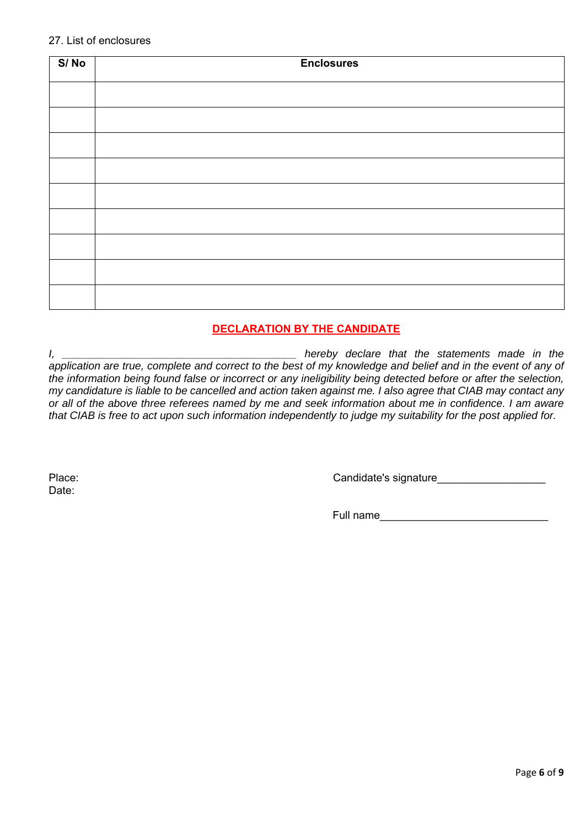| S/No | <b>Enclosures</b> |
|------|-------------------|
|      |                   |
|      |                   |
|      |                   |
|      |                   |
|      |                   |
|      |                   |
|      |                   |
|      |                   |
|      |                   |

### **DECLARATION BY THE CANDIDATE**

*I, \_\_\_\_\_\_\_\_\_\_\_\_\_\_\_\_\_\_\_\_\_\_\_\_\_\_\_\_\_\_\_\_\_\_\_\_\_\_\_ hereby declare that the statements made in the*  application are true, complete and correct to the best of my knowledge and belief and in the event of any of *the information being found false or incorrect or any ineligibility being detected before or after the selection, my candidature is liable to be cancelled and action taken against me. I also agree that CIAB may contact any or all of the above three referees named by me and seek information about me in confidence. I am aware that CIAB is free to act upon such information independently to judge my suitability for the post applied for.* 

Date:

Place: Candidate's signature

Full name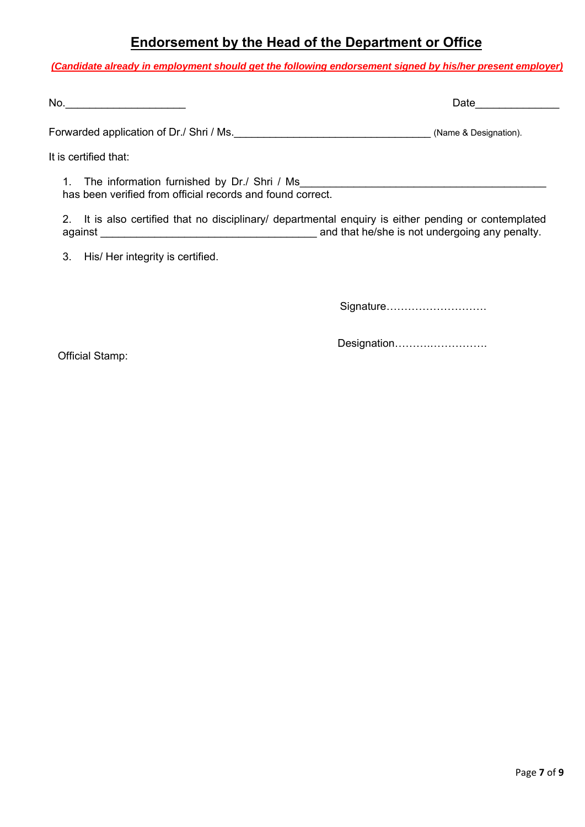## **Endorsement by the Head of the Department or Office**

*(Candidate already in employment should get the following endorsement signed by his/her present employer)*

| Νú |  |
|----|--|
|----|--|

Forwarded application of Dr./ Shri / Ms. Change and Change and Change and Change & Designation).

It is certified that:

1. The information furnished by Dr./ Shri / Ms\_\_\_\_\_\_\_\_\_\_\_\_\_\_\_\_\_\_\_\_\_\_\_\_\_\_\_\_\_\_\_\_\_\_ has been verified from official records and found correct.

2. It is also certified that no disciplinary/ departmental enquiry is either pending or contemplated against **against against against against and that he/she is not undergoing any penalty.** 

3. His/ Her integrity is certified.

Signature……………………….

Official Stamp:

Designation……….…………….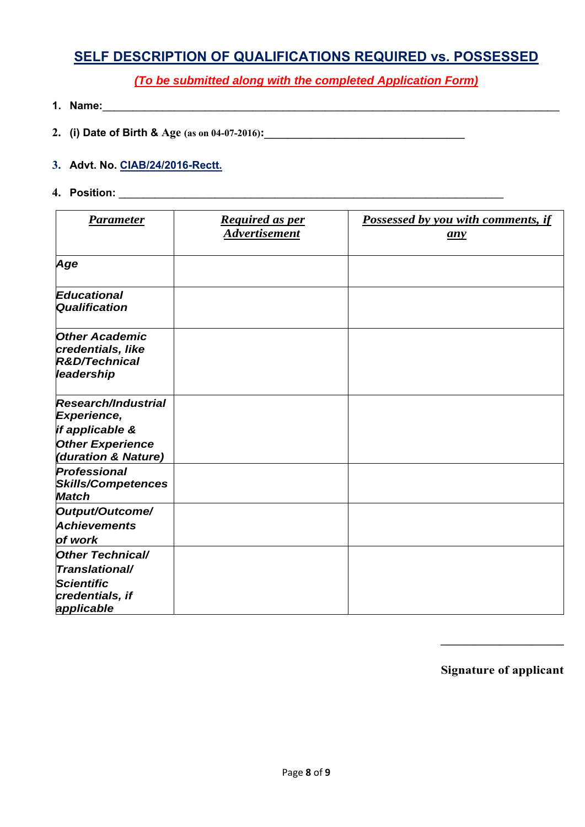# **SELF DESCRIPTION OF QUALIFICATIONS REQUIRED vs. POSSESSED**

*(To be submitted along with the completed Application Form)* 

- **1. Name:**\_\_\_\_\_\_\_\_\_\_\_\_\_\_\_\_\_\_\_\_\_\_\_\_\_\_\_\_\_\_\_\_\_\_\_\_\_\_\_\_\_\_\_\_\_\_\_\_\_\_\_\_\_\_\_\_\_\_\_\_\_\_\_\_\_\_\_\_\_\_\_\_\_\_\_\_
- **2. (i) Date of Birth & Age (as on 04-07-2016):\_\_\_\_\_\_\_\_\_\_\_\_\_\_\_\_\_\_\_\_\_\_\_\_\_\_\_\_\_\_\_\_\_\_**
- **3. Advt. No. CIAB/24/2016-Rectt.**
- **4. Position:** \_\_\_\_\_\_\_\_\_\_\_\_\_\_\_\_\_\_\_\_\_\_\_\_\_\_\_\_\_\_\_\_\_\_\_\_\_\_\_\_\_\_\_\_\_\_\_\_\_\_\_\_\_\_\_\_\_\_\_\_\_\_\_\_

| <b>Parameter</b>                                                                                                      | <b>Required as per</b><br><b>Advertisement</b> | <b>Possessed by you with comments, if</b><br>any |
|-----------------------------------------------------------------------------------------------------------------------|------------------------------------------------|--------------------------------------------------|
| Age                                                                                                                   |                                                |                                                  |
| <b>Educational</b><br>Qualification                                                                                   |                                                |                                                  |
| <b>Other Academic</b><br>credentials, like<br><b>R&amp;D/Technical</b><br>leadership                                  |                                                |                                                  |
| <b>Research/Industrial</b><br><b>Experience,</b><br>if applicable &<br><b>Other Experience</b><br>(duration & Nature) |                                                |                                                  |
| Professional<br><b>Skills/Competences</b><br><b>Match</b>                                                             |                                                |                                                  |
| Output/Outcome/<br><b>Achievements</b><br>of work                                                                     |                                                |                                                  |
| <b>Other Technical/</b><br><i>Translational/</i><br><b>Scientific</b><br>credentials, if<br>applicable                |                                                |                                                  |

**Signature of applicant**

**\_\_\_\_\_\_\_\_\_\_\_\_\_\_\_\_\_\_\_**